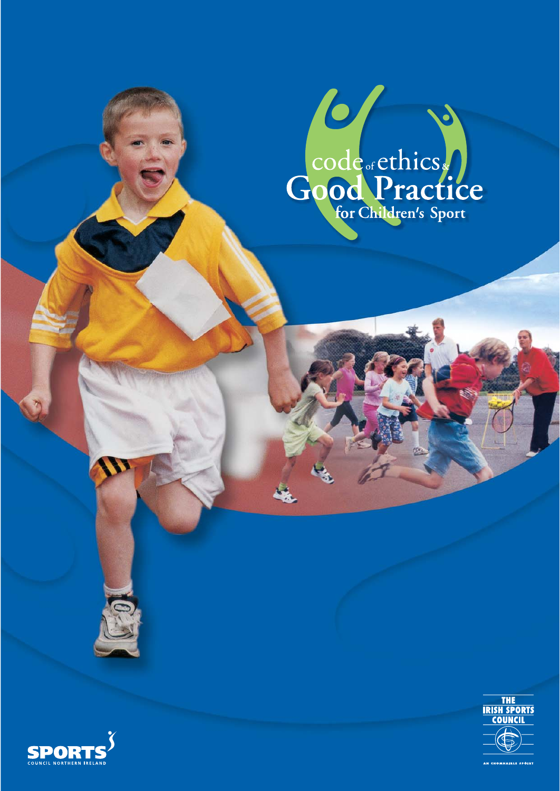



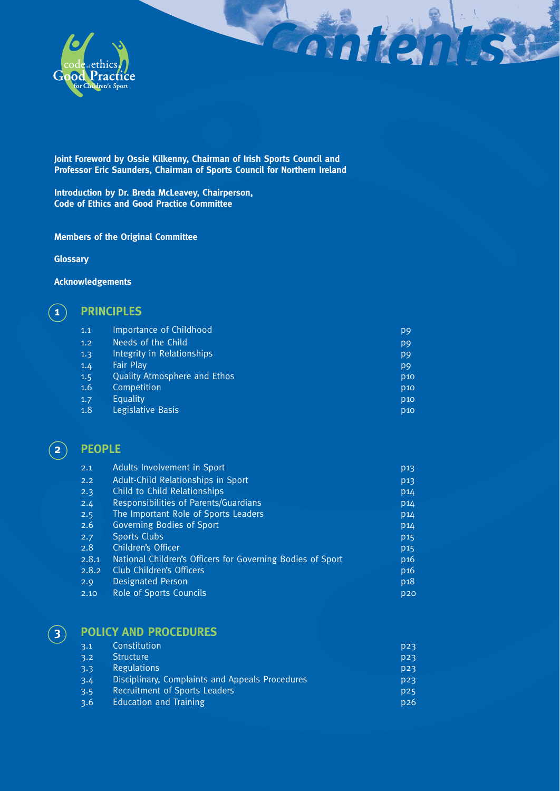

**Joint Foreword by Ossie Kilkenny, Chairman of Irish Sports Council and Professor Eric Saunders, Chairman of Sports Council for Northern Ireland** 

**Introduction by Dr. Breda McLeavey, Chairperson, Code of Ethics and Good Practice Committee** 

### **Members of the Original Committee**

**Glossary**

### **Acknowledgements**

### **1 PRINCIPLES**

| 1.1 | Importance of Childhood             | p <sub>9</sub>  |
|-----|-------------------------------------|-----------------|
| 1.2 | Needs of the Child                  | p <sub>9</sub>  |
| 1.3 | Integrity in Relationships          | p <sub>9</sub>  |
| 1.4 | <b>Fair Play</b>                    | p <sub>9</sub>  |
| 1.5 | <b>Quality Atmosphere and Ethos</b> | <b>p10</b>      |
| 1.6 | Competition                         | p <sub>10</sub> |
| 1.7 | Equality                            | <b>p10</b>      |
| 1.8 | Legislative Basis                   | p <sub>10</sub> |
|     |                                     |                 |

*Contents*

### **2 PEOPLE**

| 2.1   | Adults Involvement in Sport                                | p13             |
|-------|------------------------------------------------------------|-----------------|
| 2.2   | Adult-Child Relationships in Sport                         | p <sub>13</sub> |
| 2.3   | Child to Child Relationships                               | p <sub>14</sub> |
| 2.4   | Responsibilities of Parents/Guardians                      | p <sub>14</sub> |
| 2.5   | The Important Role of Sports Leaders                       | p <sub>14</sub> |
| 2.6   | Governing Bodies of Sport                                  | p <sub>14</sub> |
| 2.7   | <b>Sports Clubs</b>                                        | p <sub>15</sub> |
| 2.8   | Children's Officer                                         | p <sub>15</sub> |
| 2.8.1 | National Children's Officers for Governing Bodies of Sport | p16             |
| 2.8.2 | Club Children's Officers                                   | p <sub>16</sub> |
| 2.9   | <b>Designated Person</b>                                   | p <sub>18</sub> |
| 2.10  | Role of Sports Councils                                    | D2O             |

## **3 POLICY AND PROCEDURES**

| 3.1 | Constitution                                    | D23 |
|-----|-------------------------------------------------|-----|
| 3.2 | <b>Structure</b>                                | D23 |
| 3.3 | <b>Regulations</b>                              | D23 |
| 3.4 | Disciplinary, Complaints and Appeals Procedures | D23 |
| 3.5 | <b>Recruitment of Sports Leaders</b>            | D25 |
| 3.6 | <b>Education and Training</b>                   | p26 |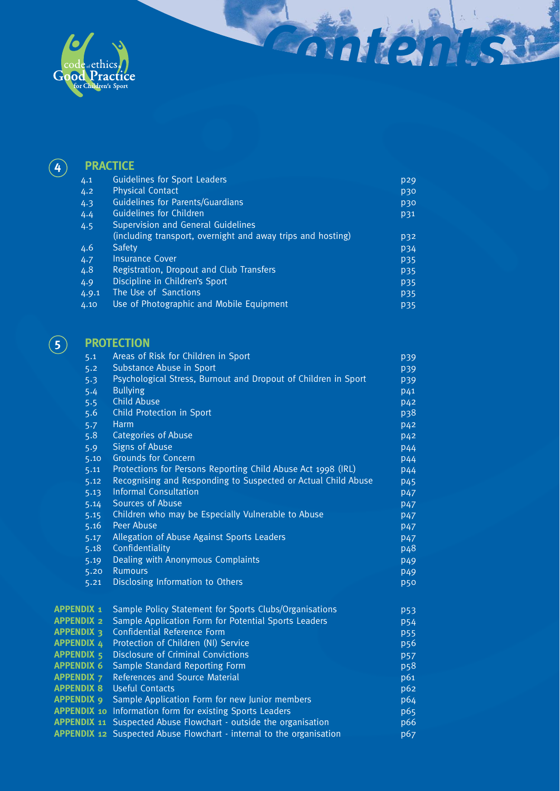

# **4 PRACTICE**

| 4.1   | <b>Guidelines for Sport Leaders</b>                         | p29        |
|-------|-------------------------------------------------------------|------------|
| 4.2   | <b>Physical Contact</b>                                     | p30        |
| 4.3   | <b>Guidelines for Parents/Guardians</b>                     | p30        |
| 4.4   | <b>Guidelines for Children</b>                              | p31        |
| 4.5   | Supervision and General Guidelines                          |            |
|       | (including transport, overnight and away trips and hosting) | p32        |
| 4.6   | Safety                                                      | <b>p34</b> |
| 4.7   | <b>Insurance Cover</b>                                      | <b>p35</b> |
| 4.8   | Registration, Dropout and Club Transfers                    | <b>p35</b> |
| 4.9   | Discipline in Children's Sport                              | <b>p35</b> |
| 4.9.1 | The Use of Sanctions                                        | <b>p35</b> |
| 4.10  | Use of Photographic and Mobile Equipment                    | P35        |

*Contents*

# **5 PROTECTION**

| 5.1               | Areas of Risk for Children in Sport                                         | p39             |
|-------------------|-----------------------------------------------------------------------------|-----------------|
| 5.2               | Substance Abuse in Sport                                                    | p39             |
| 5.3               | Psychological Stress, Burnout and Dropout of Children in Sport              | p39             |
| 5.4               | <b>Bullying</b>                                                             | p41             |
| 5.5               | <b>Child Abuse</b>                                                          | p <sub>42</sub> |
| 5.6               | Child Protection in Sport                                                   | p38             |
| 5.7               | Harm                                                                        | p <sub>42</sub> |
| 5.8               | <b>Categories of Abuse</b>                                                  | p <sub>42</sub> |
| 5.9               | <b>Signs of Abuse</b>                                                       | p44             |
| 5.10              | <b>Grounds for Concern</b>                                                  | <b>p44</b>      |
| 5.11              | Protections for Persons Reporting Child Abuse Act 1998 (IRL)                | <b>p44</b>      |
| 5.12              | Recognising and Responding to Suspected or Actual Child Abuse               | p <sub>45</sub> |
| 5.13              | <b>Informal Consultation</b>                                                | p <sub>47</sub> |
| 5.14              | Sources of Abuse                                                            | p <sub>47</sub> |
| 5.15              | Children who may be Especially Vulnerable to Abuse                          | p <sub>47</sub> |
| 5.16              | Peer Abuse                                                                  | p <sub>47</sub> |
| 5.17              | Allegation of Abuse Against Sports Leaders                                  | p <sub>47</sub> |
| 5.18              | Confidentiality                                                             | p <sub>48</sub> |
| 5.19              | Dealing with Anonymous Complaints                                           | p <sub>49</sub> |
| 5.20              | Rumours                                                                     | p <sub>49</sub> |
| 5.21              | Disclosing Information to Others                                            | <b>p50</b>      |
| <b>APPENDIX 1</b> | Sample Policy Statement for Sports Clubs/Organisations                      | <b>p53</b>      |
| <b>APPENDIX 2</b> | Sample Application Form for Potential Sports Leaders                        | <b>p54</b>      |
| <b>APPENDIX 3</b> | <b>Confidential Reference Form</b>                                          | <b>p55</b>      |
| <b>APPENDIX 4</b> | Protection of Children (NI) Service                                         | p <sub>56</sub> |
| <b>APPENDIX 5</b> | <b>Disclosure of Criminal Convictions</b>                                   | <b>p57</b>      |
| <b>APPENDIX 6</b> | Sample Standard Reporting Form                                              | p <sub>58</sub> |
| <b>APPENDIX 7</b> | References and Source Material                                              | p61             |
| <b>APPENDIX 8</b> | <b>Useful Contacts</b>                                                      | p62             |
| <b>APPENDIX 9</b> | Sample Application Form for new Junior members                              | p64             |
|                   | <b>APPENDIX 10</b> Information form for existing Sports Leaders             | p65             |
|                   | <b>APPENDIX 11</b> Suspected Abuse Flowchart - outside the organisation     | p66             |
|                   | <b>APPENDIX 12</b> Suspected Abuse Flowchart - internal to the organisation | p67             |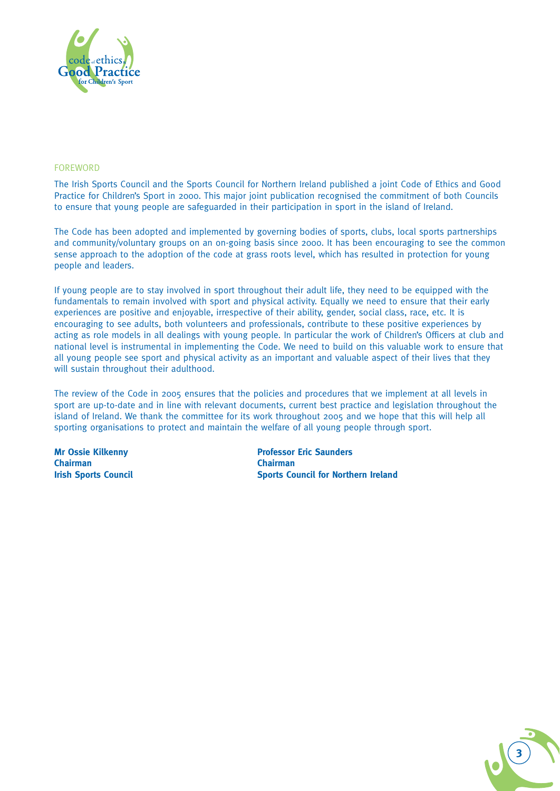

### FOREWORD

The Irish Sports Council and the Sports Council for Northern Ireland published a joint Code of Ethics and Good Practice for Children's Sport in 2000. This major joint publication recognised the commitment of both Councils to ensure that young people are safeguarded in their participation in sport in the island of Ireland.

The Code has been adopted and implemented by governing bodies of sports, clubs, local sports partnerships and community/voluntary groups on an on-going basis since 2000. It has been encouraging to see the common sense approach to the adoption of the code at grass roots level, which has resulted in protection for young people and leaders.

If young people are to stay involved in sport throughout their adult life, they need to be equipped with the fundamentals to remain involved with sport and physical activity. Equally we need to ensure that their early experiences are positive and enjoyable, irrespective of their ability, gender, social class, race, etc. It is encouraging to see adults, both volunteers and professionals, contribute to these positive experiences by acting as role models in all dealings with young people. In particular the work of Children's Officers at club and national level is instrumental in implementing the Code. We need to build on this valuable work to ensure that all young people see sport and physical activity as an important and valuable aspect of their lives that they will sustain throughout their adulthood.

The review of the Code in 2005 ensures that the policies and procedures that we implement at all levels in sport are up-to-date and in line with relevant documents, current best practice and legislation throughout the island of Ireland. We thank the committee for its work throughout 2005 and we hope that this will help all sporting organisations to protect and maintain the welfare of all young people through sport.

**Chairman Chairman**

**Mr Ossie Kilkenny Professor Eric Saunders Irish Sports Council Sports Council for Northern Ireland**

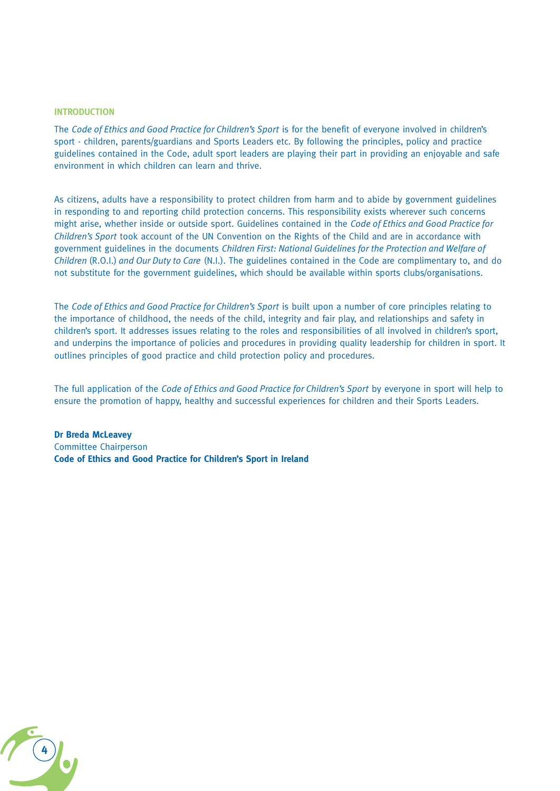#### **INTRODUCTION**

The *Code of Ethics and Good Practice for Children's Sport* is for the benefit of everyone involved in children's sport - children, parents/guardians and Sports Leaders etc. By following the principles, policy and practice guidelines contained in the Code, adult sport leaders are playing their part in providing an enjoyable and safe environment in which children can learn and thrive.

As citizens, adults have a responsibility to protect children from harm and to abide by government guidelines in responding to and reporting child protection concerns. This responsibility exists wherever such concerns might arise, whether inside or outside sport. Guidelines contained in the *Code of Ethics and Good Practice for Children's Sport* took account of the UN Convention on the Rights of the Child and are in accordance with government guidelines in the documents *Children First: National Guidelines for the Protection and Welfare of Children* (R.O.I.) *and Our Duty to Care* (N.I.). The guidelines contained in the Code are complimentary to, and do not substitute for the government guidelines, which should be available within sports clubs/organisations.

The *Code of Ethics and Good Practice for Children's Sport* is built upon a number of core principles relating to the importance of childhood, the needs of the child, integrity and fair play, and relationships and safety in children's sport. It addresses issues relating to the roles and responsibilities of all involved in children's sport, and underpins the importance of policies and procedures in providing quality leadership for children in sport. It outlines principles of good practice and child protection policy and procedures.

The full application of the *Code of Ethics and Good Practice for Children's Sport* by everyone in sport will help to ensure the promotion of happy, healthy and successful experiences for children and their Sports Leaders.

**Dr Breda McLeavey** Committee Chairperson **Code of Ethics and Good Practice for Children's Sport in Ireland**

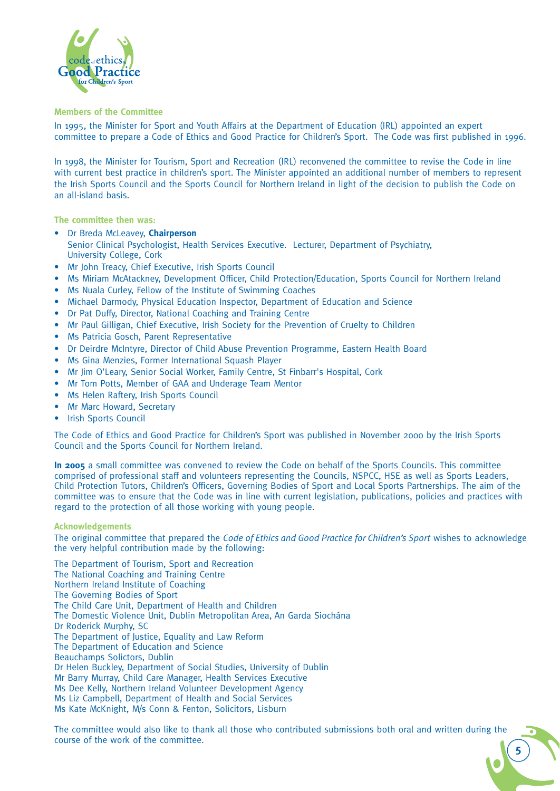

**Members of the Committee**

In 1995, the Minister for Sport and Youth Affairs at the Department of Education (IRL) appointed an expert committee to prepare a Code of Ethics and Good Practice for Children's Sport. The Code was first published in 1996.

In 1998, the Minister for Tourism, Sport and Recreation (IRL) reconvened the committee to revise the Code in line with current best practice in children's sport. The Minister appointed an additional number of members to represent the Irish Sports Council and the Sports Council for Northern Ireland in light of the decision to publish the Code on an all-island basis.

**The committee then was:**

- Dr Breda McLeavey, **Chairperson** Senior Clinical Psychologist, Health Services Executive. Lecturer, Department of Psychiatry, University College, Cork
- Mr John Treacy, Chief Executive, Irish Sports Council
- Ms Miriam McAtackney, Development Officer, Child Protection/Education, Sports Council for Northern Ireland
- Ms Nuala Curley, Fellow of the Institute of Swimming Coaches
- Michael Darmody, Physical Education Inspector, Department of Education and Science
- Dr Pat Duffy, Director, National Coaching and Training Centre
- Mr Paul Gilligan, Chief Executive, Irish Society for the Prevention of Cruelty to Children
- Ms Patricia Gosch, Parent Representative
- Dr Deirdre McIntyre, Director of Child Abuse Prevention Programme, Eastern Health Board
- Ms Gina Menzies, Former International Squash Player
- Mr Jim O'Leary, Senior Social Worker, Family Centre, St Finbarr's Hospital, Cork
- Mr Tom Potts, Member of GAA and Underage Team Mentor
- Ms Helen Raftery, Irish Sports Council
- Mr Marc Howard, Secretary
- Irish Sports Council

The Code of Ethics and Good Practice for Children's Sport was published in November 2000 by the Irish Sports Council and the Sports Council for Northern Ireland.

**In 2005** a small committee was convened to review the Code on behalf of the Sports Councils. This committee comprised of professional staff and volunteers representing the Councils, NSPCC, HSE as well as Sports Leaders, Child Protection Tutors, Children's Officers, Governing Bodies of Sport and Local Sports Partnerships. The aim of the committee was to ensure that the Code was in line with current legislation, publications, policies and practices with regard to the protection of all those working with young people.

#### **Acknowledgements**

The original committee that prepared the *Code of Ethics and Good Practice for Children's Sport* wishes to acknowledge the very helpful contribution made by the following:

The Department of Tourism, Sport and Recreation The National Coaching and Training Centre Northern Ireland Institute of Coaching The Governing Bodies of Sport The Child Care Unit, Department of Health and Children The Domestic Violence Unit, Dublin Metropolitan Area, An Garda Siochána Dr Roderick Murphy, SC The Department of Justice, Equality and Law Reform The Department of Education and Science Beauchamps Solictors, Dublin Dr Helen Buckley, Department of Social Studies, University of Dublin Mr Barry Murray, Child Care Manager, Health Services Executive Ms Dee Kelly, Northern Ireland Volunteer Development Agency Ms Liz Campbell, Department of Health and Social Services Ms Kate McKnight, M/s Conn & Fenton, Solicitors, Lisburn

The committee would also like to thank all those who contributed submissions both oral and written during the course of the work of the committee.

**5**